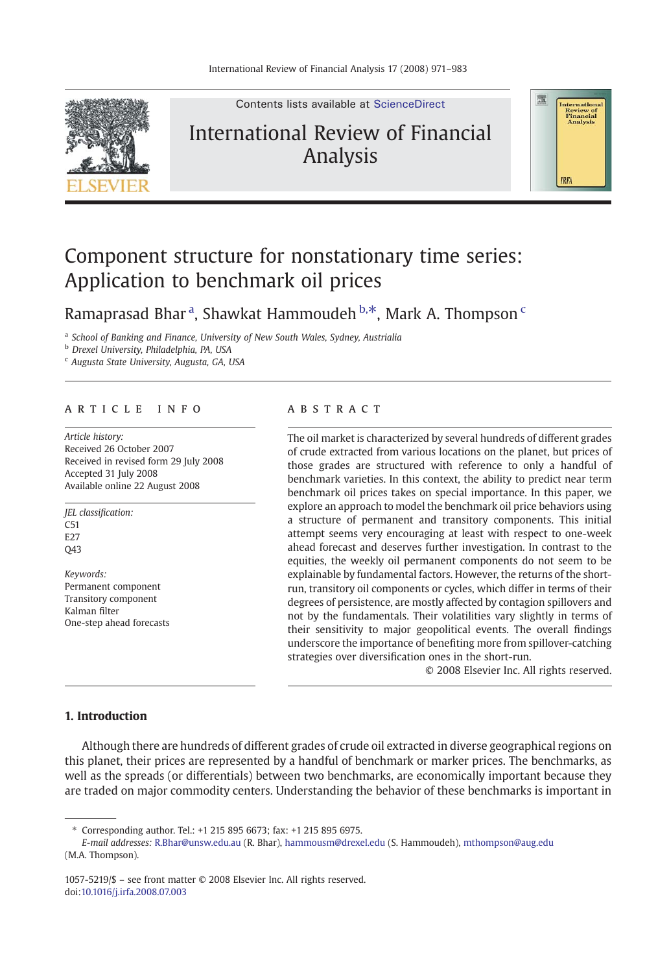

Contents lists available at [ScienceDirect](http://www.sciencedirect.com/science/journal/10575219)

# International Review of Financial Analysis



## Component structure for nonstationary time series: Application to benchmark oil prices

Ramaprasad Bhar<sup>a</sup>, Shawkat Hammoudeh <sup>b,\*</sup>, Mark A. Thompson <sup>c</sup>

<sup>a</sup> School of Banking and Finance, University of New South Wales, Sydney, Austrialia

**b** Drexel University, Philadelphia, PA, USA

<sup>c</sup> Augusta State University, Augusta, GA, USA

### article info abstract

Article history: Received 26 October 2007 Received in revised form 29 July 2008 Accepted 31 July 2008 Available online 22 August 2008

JEL classification: C51 E27 Q43

Keywords: Permanent component Transitory component Kalman filter One-step ahead forecasts

The oil market is characterized by several hundreds of different grades of crude extracted from various locations on the planet, but prices of those grades are structured with reference to only a handful of benchmark varieties. In this context, the ability to predict near term benchmark oil prices takes on special importance. In this paper, we explore an approach to model the benchmark oil price behaviors using a structure of permanent and transitory components. This initial attempt seems very encouraging at least with respect to one-week ahead forecast and deserves further investigation. In contrast to the equities, the weekly oil permanent components do not seem to be explainable by fundamental factors. However, the returns of the shortrun, transitory oil components or cycles, which differ in terms of their degrees of persistence, are mostly affected by contagion spillovers and not by the fundamentals. Their volatilities vary slightly in terms of their sensitivity to major geopolitical events. The overall findings underscore the importance of benefiting more from spillover-catching strategies over diversification ones in the short-run.

© 2008 Elsevier Inc. All rights reserved.

## 1. Introduction

Although there are hundreds of different grades of crude oil extracted in diverse geographical regions on this planet, their prices are represented by a handful of benchmark or marker prices. The benchmarks, as well as the spreads (or differentials) between two benchmarks, are economically important because they are traded on major commodity centers. Understanding the behavior of these benchmarks is important in

1057-5219/\$ – see front matter © 2008 Elsevier Inc. All rights reserved. doi:[10.1016/j.irfa.2008.07.003](http://dx.doi.org/10.1016/j.irfa.2008.07.003)

<sup>⁎</sup> Corresponding author. Tel.: +1 215 895 6673; fax: +1 215 895 6975.

E-mail addresses: [R.Bhar@unsw.edu.au](mailto:R.Bhar@unsw.edu.au) (R. Bhar), [hammousm@drexel.edu](mailto:hammousm@drexel.edu) (S. Hammoudeh), [mthompson@aug.edu](mailto:mthompson@aug.edu) (M.A. Thompson).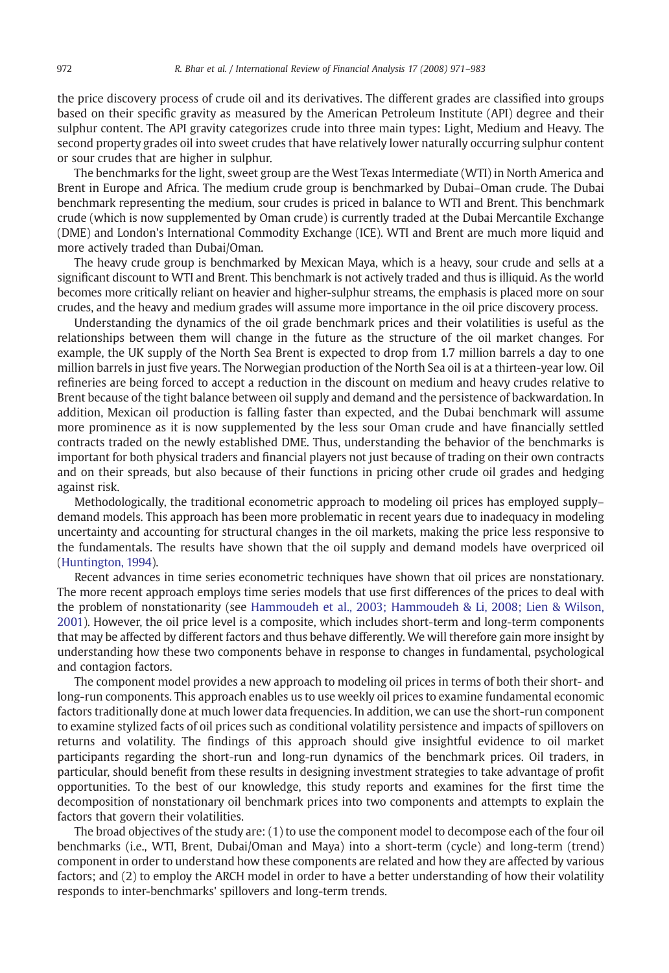the price discovery process of crude oil and its derivatives. The different grades are classified into groups based on their specific gravity as measured by the American Petroleum Institute (API) degree and their sulphur content. The API gravity categorizes crude into three main types: Light, Medium and Heavy. The second property grades oil into sweet crudes that have relatively lower naturally occurring sulphur content or sour crudes that are higher in sulphur.

The benchmarks for the light, sweet group are the West Texas Intermediate (WTI) in North America and Brent in Europe and Africa. The medium crude group is benchmarked by Dubai–Oman crude. The Dubai benchmark representing the medium, sour crudes is priced in balance to WTI and Brent. This benchmark crude (which is now supplemented by Oman crude) is currently traded at the Dubai Mercantile Exchange (DME) and London's International Commodity Exchange (ICE). WTI and Brent are much more liquid and more actively traded than Dubai/Oman.

The heavy crude group is benchmarked by Mexican Maya, which is a heavy, sour crude and sells at a significant discount to WTI and Brent. This benchmark is not actively traded and thus is illiquid. As the world becomes more critically reliant on heavier and higher-sulphur streams, the emphasis is placed more on sour crudes, and the heavy and medium grades will assume more importance in the oil price discovery process.

Understanding the dynamics of the oil grade benchmark prices and their volatilities is useful as the relationships between them will change in the future as the structure of the oil market changes. For example, the UK supply of the North Sea Brent is expected to drop from 1.7 million barrels a day to one million barrels in just five years. The Norwegian production of the North Sea oil is at a thirteen-year low. Oil refineries are being forced to accept a reduction in the discount on medium and heavy crudes relative to Brent because of the tight balance between oil supply and demand and the persistence of backwardation. In addition, Mexican oil production is falling faster than expected, and the Dubai benchmark will assume more prominence as it is now supplemented by the less sour Oman crude and have financially settled contracts traded on the newly established DME. Thus, understanding the behavior of the benchmarks is important for both physical traders and financial players not just because of trading on their own contracts and on their spreads, but also because of their functions in pricing other crude oil grades and hedging against risk.

Methodologically, the traditional econometric approach to modeling oil prices has employed supply– demand models. This approach has been more problematic in recent years due to inadequacy in modeling uncertainty and accounting for structural changes in the oil markets, making the price less responsive to the fundamentals. The results have shown that the oil supply and demand models have overpriced oil ([Huntington, 1994](#page--1-0)).

Recent advances in time series econometric techniques have shown that oil prices are nonstationary. The more recent approach employs time series models that use first differences of the prices to deal with the problem of nonstationarity (see [Hammoudeh et al., 2003; Hammoudeh & Li, 2008; Lien & Wilson,](#page--1-0) [2001](#page--1-0)). However, the oil price level is a composite, which includes short-term and long-term components that may be affected by different factors and thus behave differently. We will therefore gain more insight by understanding how these two components behave in response to changes in fundamental, psychological and contagion factors.

The component model provides a new approach to modeling oil prices in terms of both their short- and long-run components. This approach enables us to use weekly oil prices to examine fundamental economic factors traditionally done at much lower data frequencies. In addition, we can use the short-run component to examine stylized facts of oil prices such as conditional volatility persistence and impacts of spillovers on returns and volatility. The findings of this approach should give insightful evidence to oil market participants regarding the short-run and long-run dynamics of the benchmark prices. Oil traders, in particular, should benefit from these results in designing investment strategies to take advantage of profit opportunities. To the best of our knowledge, this study reports and examines for the first time the decomposition of nonstationary oil benchmark prices into two components and attempts to explain the factors that govern their volatilities.

The broad objectives of the study are: (1) to use the component model to decompose each of the four oil benchmarks (i.e., WTI, Brent, Dubai/Oman and Maya) into a short-term (cycle) and long-term (trend) component in order to understand how these components are related and how they are affected by various factors; and (2) to employ the ARCH model in order to have a better understanding of how their volatility responds to inter-benchmarks' spillovers and long-term trends.